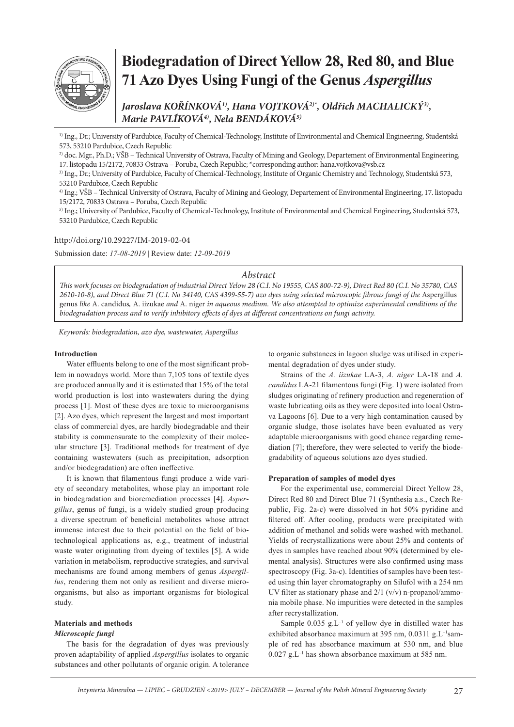

# **Biodegradation of Direct Yellow 28, Red 80, and Blue 71 Azo Dyes Using Fungi of the Genus** *Aspergillus*

*Jaroslava KOŘÍNKOVÁ1), Hana VOJTKOVÁ2)\*, Oldřich MACHALICKÝ3), Marie PAVLÍKOVÁ4), Nela BENDÁKOVÁ5)*

1) Ing., Dr.; University of Pardubice, Faculty of Chemical-Technology, Institute of Environmental and Chemical Engineering, Studentská 573, 53210 Pardubice, Czech Republic

3) Ing., Dr.; University of Pardubice, Faculty of Chemical-Technology, Institute of Organic Chemistry and Technology, Studentská 573,

53210 Pardubice, Czech Republic

4) Ing.; VŠB – Technical University of Ostrava, Faculty of Mining and Geology, Departement of Environmental Engineering, 17. listopadu 15/2172, 70833 Ostrava – Poruba, Czech Republic

5) Ing.; University of Pardubice, Faculty of Chemical-Technology, Institute of Environmental and Chemical Engineering, Studentská 573, 53210 Pardubice, Czech Republic

http://doi.org/10.29227/IM-2019-02-04

Submission date: *17-08-2019* | Review date: *12-09-2019* 

# *Abstract*

*This work focuses on biodegradation of industrial Direct Yelow 28 (C.I. No 19555, CAS 800-72-9), Direct Red 80 (C.I. No 35780, CAS 2610-10-8), and Direct Blue 71 (C.I. No 34140, CAS 4399-55-7) azo dyes using selected microscopic fibrous fungi of the* Aspergillus genus *like* A. candidus*,* A. iizukae *and* A. niger *in aqueous medium. We also attempted to optimize experimental conditions of the biodegradation process and to verify inhibitory effects of dyes at different concentrations on fungi activity.*

*Keywords: biodegradation, azo dye, wastewater, Aspergillus*

# **Introduction**

Water effluents belong to one of the most significant problem in nowadays world. More than 7,105 tons of textile dyes are produced annually and it is estimated that 15% of the total world production is lost into wastewaters during the dying process [1]. Most of these dyes are toxic to microorganisms [2]. Azo dyes, which represent the largest and most important class of commercial dyes, are hardly biodegradable and their stability is commensurate to the complexity of their molecular structure [3]. Traditional methods for treatment of dye containing wastewaters (such as precipitation, adsorption and/or biodegradation) are often ineffective.

It is known that filamentous fungi produce a wide variety of secondary metabolites, whose play an important role in biodegradation and bioremediation processes [4]. *Aspergillus*, genus of fungi, is a widely studied group producing a diverse spectrum of beneficial metabolites whose attract immense interest due to their potential on the field of biotechnological applications as, e.g., treatment of industrial waste water originating from dyeing of textiles [5]. A wide variation in metabolism, reproductive strategies, and survival mechanisms are found among members of genus *Aspergillus*, rendering them not only as resilient and diverse microorganisms, but also as important organisms for biological study.

# **Materials and methods**

# *Microscopic fungi*

The basis for the degradation of dyes was previously proven adaptability of applied *Aspergillus* isolates to organic substances and other pollutants of organic origin. A tolerance to organic substances in lagoon sludge was utilised in experimental degradation of dyes under study.

Strains of the *A. iizukae* LA-3, *A. niger* LA-18 and *A. candidus* LA-21 filamentous fungi (Fig. 1) were isolated from sludges originating of refinery production and regeneration of waste lubricating oils as they were deposited into local Ostrava Lagoons [6]. Due to a very high contamination caused by organic sludge, those isolates have been evaluated as very adaptable microorganisms with good chance regarding remediation [7]; therefore, they were selected to verify the biodegradability of aqueous solutions azo dyes studied.

# **Preparation of samples of model dyes**

For the experimental use, commercial Direct Yellow 28, Direct Red 80 and Direct Blue 71 (Synthesia a.s., Czech Republic, Fig. 2a-c) were dissolved in hot 50% pyridine and filtered off. After cooling, products were precipitated with addition of methanol and solids were washed with methanol. Yields of recrystallizations were about 25% and contents of dyes in samples have reached about 90% (determined by elemental analysis). Structures were also confirmed using mass spectroscopy (Fig. 3a-c). Identities of samples have been tested using thin layer chromatography on Silufol with a 254 nm UV filter as stationary phase and  $2/1$  (v/v) n-propanol/ammonia mobile phase. No impurities were detected in the samples after recrystallization.

Sample 0.035 g.L–1 of yellow dye in distilled water has exhibited absorbance maximum at 395 nm,  $0.0311$  g.L<sup>-1</sup>sample of red has absorbance maximum at 530 nm, and blue  $0.027$  g.L<sup>-1</sup> has shown absorbance maximum at 585 nm.

<sup>&</sup>lt;sup>2)</sup> doc. Mgr., Ph.D.; VŠB – Technical University of Ostrava, Faculty of Mining and Geology, Departement of Environmental Engineering, 17. listopadu 15/2172, 70833 Ostrava – Poruba, Czech Republic; \*corresponding author: hana.vojtkova@vsb.cz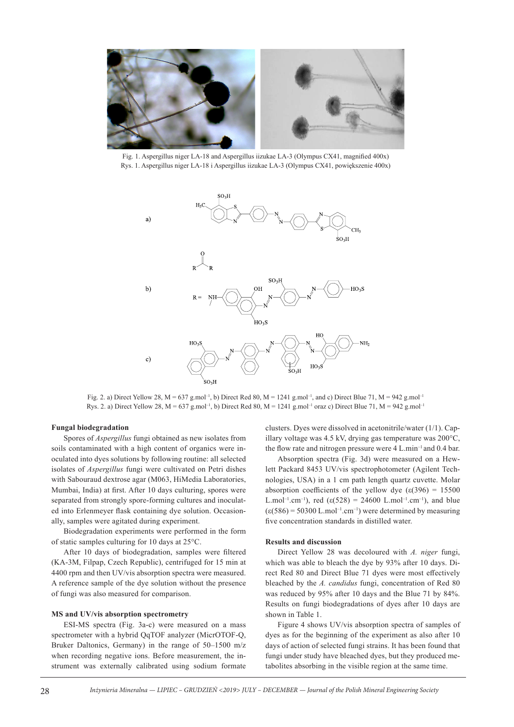

Fig. 1. Aspergillus niger LA-18 and Aspergillus iizukae LA-3 (Olympus CX41, magnified 400x) Rys. 1. Aspergillus niger LA-18 i Aspergillus iizukae LA-3 (Olympus CX41, powiększenie 400x)



Fig. 2. a) Direct Yellow 28, M = 637 g.mol<sup>-1</sup>, b) Direct Red 80, M = 1241 g.mol<sup>-1</sup>, and c) Direct Blue 71, M = 942 g.mol<sup>-1</sup> Rys. 2. a) Direct Yellow 28,  $M = 637$  g.mol<sup>-1</sup>, b) Direct Red 80,  $M = 1241$  g.mol<sup>-1</sup> oraz c) Direct Blue 71,  $M = 942$  g.mol<sup>-1</sup>

#### **Fungal biodegradation**

Spores of *Aspergillus* fungi obtained as new isolates from soils contaminated with a high content of organics were inoculated into dyes solutions by following routine: all selected isolates of *Aspergillus* fungi were cultivated on Petri dishes with Sabouraud dextrose agar (M063, HiMedia Laboratories, Mumbai, India) at first. After 10 days culturing, spores were separated from strongly spore-forming cultures and inoculated into Erlenmeyer flask containing dye solution. Occasionally, samples were agitated during experiment.

Biodegradation experiments were performed in the form of static samples culturing for 10 days at 25°C.

After 10 days of biodegradation, samples were filtered (KA-3M, Filpap, Czech Republic), centrifuged for 15 min at 4400 rpm and then UV/vis absorption spectra were measured. A reference sample of the dye solution without the presence of fungi was also measured for comparison.

#### **MS and UV/vis absorption spectrometry**

ESI-MS spectra (Fig. 3a-c) were measured on a mass spectrometer with a hybrid QqTOF analyzer (MicrOTOF-Q, Bruker Daltonics, Germany) in the range of 50–1500 m/z when recording negative ions. Before measurement, the instrument was externally calibrated using sodium formate clusters. Dyes were dissolved in acetonitrile/water (1/1). Capillary voltage was 4.5 kV, drying gas temperature was 200°C, the flow rate and nitrogen pressure were 4 L.min<sup>-1</sup> and 0.4 bar.

Absorption spectra (Fig. 3d) were measured on a Hewlett Packard 8453 UV/vis spectrophotometer (Agilent Technologies, USA) in a 1 cm path length quartz cuvette. Molar absorption coefficients of the yellow dye ( $\varepsilon$ (396) = 15500 L.mol<sup>-1</sup>.cm<sup>-1</sup>), red ( $\varepsilon$ (528) = 24600 L.mol<sup>-1</sup>.cm<sup>-1</sup>), and blue  $(\epsilon(586) = 50300 \text{ L} \cdot \text{mol}^{-1} \cdot \text{cm}^{-1})$  were determined by measuring five concentration standards in distilled water.

#### **Results and discussion**

Direct Yellow 28 was decoloured with *A. niger* fungi, which was able to bleach the dye by 93% after 10 days. Direct Red 80 and Direct Blue 71 dyes were most effectively bleached by the *A. candidus* fungi, concentration of Red 80 was reduced by 95% after 10 days and the Blue 71 by 84%. Results on fungi biodegradations of dyes after 10 days are shown in Table 1.

Figure 4 shows UV/vis absorption spectra of samples of dyes as for the beginning of the experiment as also after 10 days of action of selected fungi strains. It has been found that fungi under study have bleached dyes, but they produced metabolites absorbing in the visible region at the same time.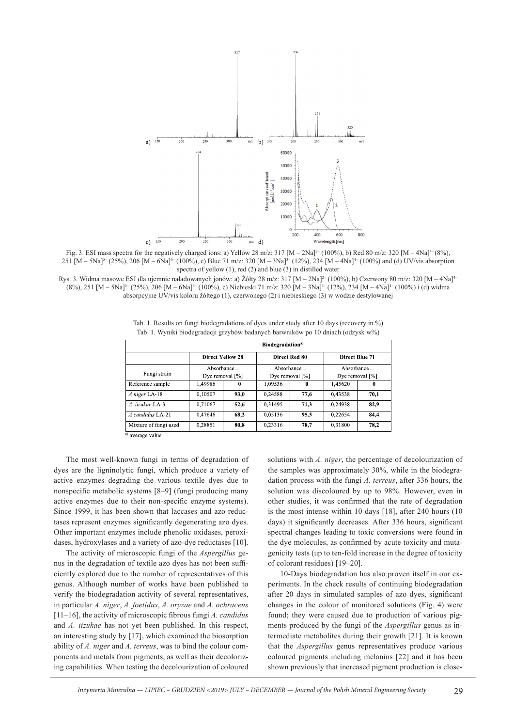

Fig. 3. ESI mass spectra for the negatively charged ions: a) Yellow 28 m/z: 317 [M – 2Na]<sup>2–</sup> (100%), b) Red 80 m/z: 320 [M – 4Na]<sup>4–</sup> (8%), 251 [M – 5Na]<sup>5</sup> (25%), 206 [M – 6Na]<sup>6</sup> (100%), c) Blue 71 m/z: 320 [M – 3Na]<sup>3</sup> (12%), 234 [M – 4Na]<sup>4</sup> (100%) and (d) UV/vis absorption spectra of yellow (1), red (2) and blue (3) in distilled water

Rys. 3. Widma masowe ESI dla ujemnie naładowanych jonów: a) Żółty 28 m/z: 317 [M – 2Na]<sup>2</sup>– (100%), b) Czerwony 80 m/z: 320 [M – 4Na]<sup>4</sup> (8%), 251 [M – 5Na]5– (25%), 206 [M – 6Na]6– (100%), c) Niebieski 71 m/z: 320 [M – 3Na]3– (12%), 234 [M – 4Na]4– (100%) i (d) widma absorpcyjne UV/vis koloru żółtego (1), czerwonego (2) i niebieskiego (3) w wodzie destylowanej

| Tab. I. Wyniki biodegradacji grzybów badanych barwników po 10 dniach (odzysk w%) |                                   |      |                                   |      |                                   |      |
|----------------------------------------------------------------------------------|-----------------------------------|------|-----------------------------------|------|-----------------------------------|------|
|                                                                                  |                                   |      | Biodegradation <sup>a)</sup>      |      |                                   |      |
|                                                                                  | <b>Direct Yellow 28</b>           |      | Direct Red 80                     |      | Direct Blue 71                    |      |
| Fungi strain                                                                     | $Absorbance -$<br>Dye removal [%] |      | $Absorbance -$<br>Dye removal [%] |      | $Absorbance -$<br>Dye removal [%] |      |
| Reference sample                                                                 | 1.49986                           | 0    | 1.09536                           | 0    | 1.45620                           | 0    |
| $A$ niger LA $18$                                                                | 0.10507                           | 93.0 | 0,24588                           | 77.6 | 0.43538                           | 70.1 |

0,31495

 $0.05136$ 

0.23316

71,3

 $95.3$ 

78.7

0,24938

0.22654

0.31800

52,6

68.2

80.8

Tab. 1. Results on fungi biodegradations of dyes under study after 10 days (recovery in %) Tab. 1. Wyniki biodegradacji grzybów badanych barwników po 10 dniach (odzysk w%)

average value

A iizukae LA-3

A candidus LA-21

Mixture of fungi used

0,71067

0.47646

0.28851

The most well-known fungi in terms of degradation of dyes are the ligninolytic fungi, which produce a variety of active enzymes degrading the various textile dyes due to nonspecific metabolic systems [8–9] (fungi producing many active enzymes due to their non-specific enzyme systems). Since 1999, it has been shown that laccases and azo-reductases represent enzymes significantly degenerating azo dyes. Other important enzymes include phenolic oxidases, peroxidases, hydroxylases and a variety of azo-dye reductases [10].

The activity of microscopic fungi of the *Aspergillus* genus in the degradation of textile azo dyes has not been sufficiently explored due to the number of representatives of this genus. Although number of works have been published to verify the biodegradation activity of several representatives, in particular *A. niger*, *A. foetidus*, *A. oryzae* and *A. ochraceus*  [11–16], the activity of microscopic fibrous fungi *A. candidus* and *A. iizukae* has not yet been published. In this respect, an interesting study by [17], which examined the biosorption ability of *A. niger* and *A. terreus*, was to bind the colour components and metals from pigments, as well as their decolorizing capabilities. When testing the decolourization of coloured solutions with *A. niger*, the percentage of decolourization of the samples was approximately 30%, while in the biodegradation process with the fungi *A. terreus*, after 336 hours, the solution was discoloured by up to 98%. However, even in other studies, it was confirmed that the rate of degradation is the most intense within 10 days [18], after 240 hours (10 days) it significantly decreases. After 336 hours, significant spectral changes leading to toxic conversions were found in the dye molecules, as confirmed by acute toxicity and mutagenicity tests (up to ten-fold increase in the degree of toxicity of colorant residues) [19–20].

82,9

 $84.4$ 

78.2

10-Days biodegradation has also proven itself in our experiments. In the check results of continuing biodegradation after 20 days in simulated samples of azo dyes, significant changes in the colour of monitored solutions (Fig. 4) were found; they were caused due to production of various pigments produced by the fungi of the *Aspergillus* genus as intermediate metabolites during their growth [21]. It is known that the *Aspergillus* genus representatives produce various coloured pigments including melanins [22] and it has been shown previously that increased pigment production is close-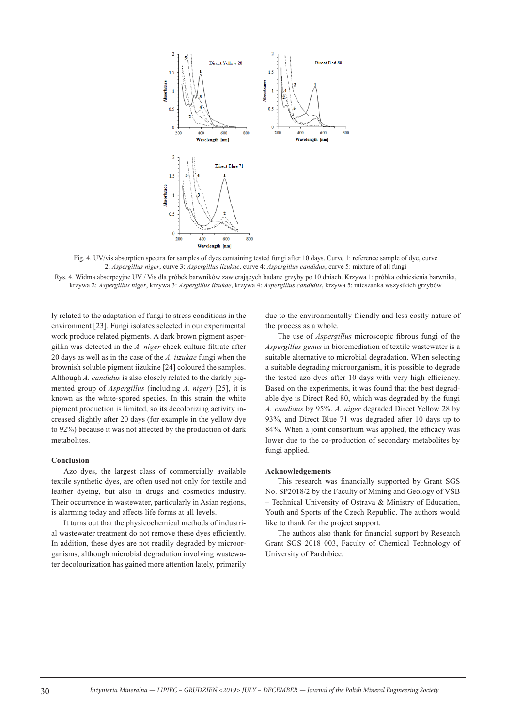

Fig. 4. UV/vis absorption spectra for samples of dyes containing tested fungi after 10 days. Curve 1: reference sample of dye, curve 2: *Aspergillus niger*, curve 3: *Aspergillus iizukae*, curve 4: *Aspergillus candidus*, curve 5: mixture of all fungi Rys. 4. Widma absorpcyjne UV / Vis dla próbek barwników zawierających badane grzyby po 10 dniach. Krzywa 1: próbka odniesienia barwnika, krzywa 2: *Aspergillus niger*, krzywa 3: *Aspergillus iizukae*, krzywa 4: *Aspergillus candidus*, krzywa 5: mieszanka wszystkich grzybów

ly related to the adaptation of fungi to stress conditions in the environment [23]. Fungi isolates selected in our experimental work produce related pigments. A dark brown pigment aspergillin was detected in the *A. niger* check culture filtrate after 20 days as well as in the case of the *A. iizukae* fungi when the brownish soluble pigment iizukine [24] coloured the samples. Although *A. candidus* is also closely related to the darkly pigmented group of *Aspergillus* (including *A. niger*) [25], it is known as the white-spored species. In this strain the white pigment production is limited, so its decolorizing activity increased slightly after 20 days (for example in the yellow dye to 92%) because it was not affected by the production of dark metabolites.

### **Conclusion**

Azo dyes, the largest class of commercially available textile synthetic dyes, are often used not only for textile and leather dyeing, but also in drugs and cosmetics industry. Their occurrence in wastewater, particularly in Asian regions, is alarming today and affects life forms at all levels.

It turns out that the physicochemical methods of industrial wastewater treatment do not remove these dyes efficiently. In addition, these dyes are not readily degraded by microorganisms, although microbial degradation involving wastewater decolourization has gained more attention lately, primarily due to the environmentally friendly and less costly nature of the process as a whole.

The use of *Aspergillus* microscopic fibrous fungi of the *Aspergillus genus* in bioremediation of textile wastewater is a suitable alternative to microbial degradation. When selecting a suitable degrading microorganism, it is possible to degrade the tested azo dyes after 10 days with very high efficiency. Based on the experiments, it was found that the best degradable dye is Direct Red 80, which was degraded by the fungi *A. candidus* by 95%. *A. niger* degraded Direct Yellow 28 by 93%, and Direct Blue 71 was degraded after 10 days up to 84%. When a joint consortium was applied, the efficacy was lower due to the co-production of secondary metabolites by fungi applied.

#### **Acknowledgements**

This research was financially supported by Grant SGS No. SP2018/2 by the Faculty of Mining and Geology of VŠB – Technical University of Ostrava & Ministry of Education, Youth and Sports of the Czech Republic. The authors would like to thank for the project support.

The authors also thank for financial support by Research Grant SGS 2018 003, Faculty of Chemical Technology of University of Pardubice.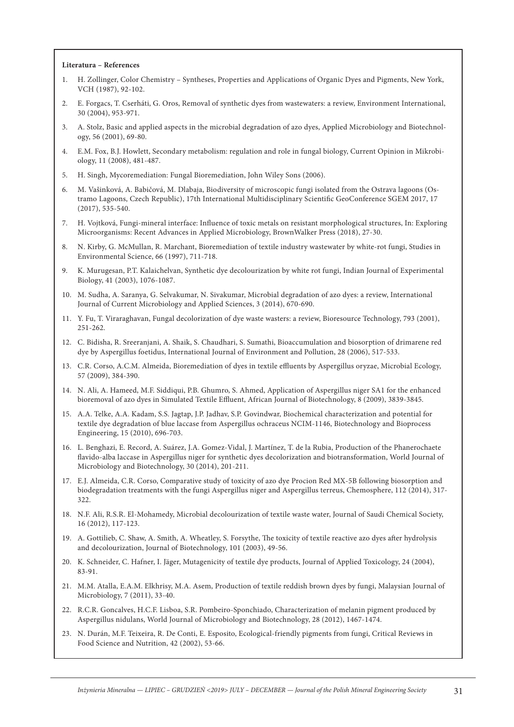#### **Literatura – References**

- 1. H. Zollinger, Color Chemistry Syntheses, Properties and Applications of Organic Dyes and Pigments, New York, VCH (1987), 92-102.
- 2. E. Forgacs, T. Cserháti, G. Oros, Removal of synthetic dyes from wastewaters: a review, Environment International, 30 (2004), 953-971.
- 3. A. Stolz, Basic and applied aspects in the microbial degradation of azo dyes, Applied Microbiology and Biotechnology, 56 (2001), 69-80.
- 4. E.M. Fox, B.J. Howlett, Secondary metabolism: regulation and role in fungal biology, Current Opinion in Mikrobiology, 11 (2008), 481-487.
- 5. H. Singh, Mycoremediation: Fungal Bioremediation, John Wiley Sons (2006).
- 6. M. Vašinková, A. Babičová, M. Dlabaja, Biodiversity of microscopic fungi isolated from the Ostrava lagoons (Ostramo Lagoons, Czech Republic), 17th International Multidisciplinary Scientific GeoConference SGEM 2017, 17 (2017), 535-540.
- 7. H. Vojtková, Fungi-mineral interface: Influence of toxic metals on resistant morphological structures, In: Exploring Microorganisms: Recent Advances in Applied Microbiology, BrownWalker Press (2018), 27-30.
- 8. N. Kirby, G. McMullan, R. Marchant, Bioremediation of textile industry wastewater by white-rot fungi, Studies in Environmental Science, 66 (1997), 711-718.
- 9. K. Murugesan, P.T. Kalaichelvan, Synthetic dye decolourization by white rot fungi, Indian Journal of Experimental Biology, 41 (2003), 1076-1087.
- 10. M. Sudha, A. Saranya, G. Selvakumar, N. Sivakumar, Microbial degradation of azo dyes: a review, International Journal of Current Microbiology and Applied Sciences, 3 (2014), 670-690.
- 11. Y. Fu, T. Viraraghavan, Fungal decolorization of dye waste wasters: a review, Bioresource Technology, 793 (2001), 251-262.
- 12. C. Bidisha, R. Sreeranjani, A. Shaik, S. Chaudhari, S. Sumathi, Bioaccumulation and biosorption of drimarene red dye by Aspergillus foetidus, International Journal of Environment and Pollution, 28 (2006), 517-533.
- 13. C.R. Corso, A.C.M. Almeida, Bioremediation of dyes in textile effluents by Aspergillus oryzae, Microbial Ecology, 57 (2009), 384-390.
- 14. N. Ali, A. Hameed, M.F. Siddiqui, P.B. Ghumro, S. Ahmed, Application of Aspergillus niger SA1 for the enhanced bioremoval of azo dyes in Simulated Textile Effluent, African Journal of Biotechnology, 8 (2009), 3839-3845.
- 15. A.A. Telke, A.A. Kadam, S.S. Jagtap, J.P. Jadhav, S.P. Govindwar, Biochemical characterization and potential for textile dye degradation of blue laccase from Aspergillus ochraceus NCIM-1146, Biotechnology and Bioprocess Engineering, 15 (2010), 696-703.
- 16. L. Benghazi, E. Record, A. Suárez, J.A. Gomez-Vidal, J. Martínez, T. de la Rubia, Production of the Phanerochaete flavido-alba laccase in Aspergillus niger for synthetic dyes decolorization and biotransformation, World Journal of Microbiology and Biotechnology, 30 (2014), 201-211.
- 17. E.J. Almeida, C.R. Corso, Comparative study of toxicity of azo dye Procion Red MX-5B following biosorption and biodegradation treatments with the fungi Aspergillus niger and Aspergillus terreus, Chemosphere, 112 (2014), 317- 322.
- 18. N.F. Ali, R.S.R. El-Mohamedy, Microbial decolourization of textile waste water, Journal of Saudi Chemical Society, 16 (2012), 117-123.
- 19. A. Gottilieb, C. Shaw, A. Smith, A. Wheatley, S. Forsythe, The toxicity of textile reactive azo dyes after hydrolysis and decolourization, Journal of Biotechnology, 101 (2003), 49-56.
- 20. K. Schneider, C. Hafner, I. Jäger, Mutagenicity of textile dye products, Journal of Applied Toxicology, 24 (2004), 83-91.
- 21. M.M. Atalla, E.A.M. Elkhrisy, M.A. Asem, Production of textile reddish brown dyes by fungi, Malaysian Journal of Microbiology, 7 (2011), 33-40.
- 22. R.C.R. Goncalves, H.C.F. Lisboa, S.R. Pombeiro-Sponchiado, Characterization of melanin pigment produced by Aspergillus nidulans, World Journal of Microbiology and Biotechnology, 28 (2012), 1467-1474.
- 23. N. Durán, M.F. Teixeira, R. De Conti, E. Esposito, Ecological-friendly pigments from fungi, Critical Reviews in Food Science and Nutrition, 42 (2002), 53-66.